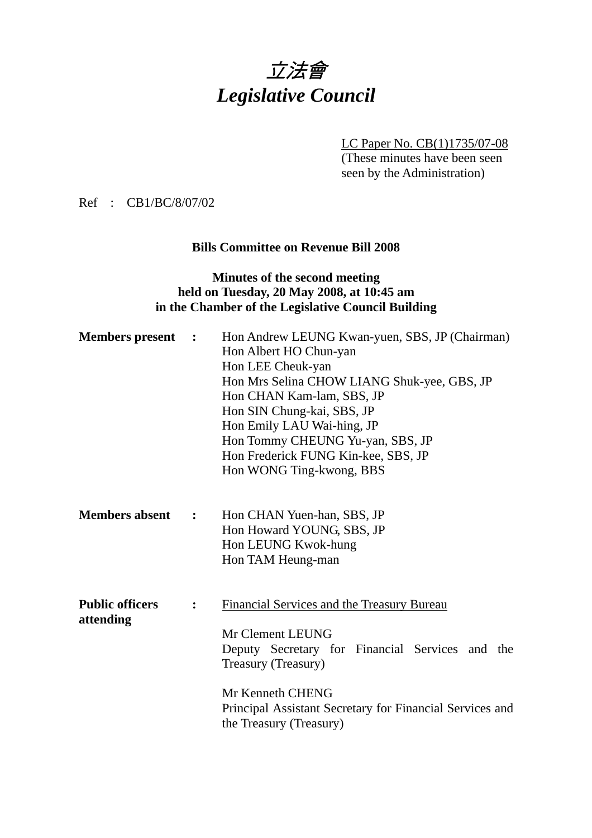

LC Paper No. CB(1)1735/07-08

(These minutes have been seen seen by the Administration)

Ref : CB1/BC/8/07/02

## **Bills Committee on Revenue Bill 2008**

## **Minutes of the second meeting held on Tuesday, 20 May 2008, at 10:45 am in the Chamber of the Legislative Council Building**

| <b>Members</b> present              | $\ddot{\phantom{1}}$ | Hon Andrew LEUNG Kwan-yuen, SBS, JP (Chairman)<br>Hon Albert HO Chun-yan<br>Hon LEE Cheuk-yan<br>Hon Mrs Selina CHOW LIANG Shuk-yee, GBS, JP<br>Hon CHAN Kam-lam, SBS, JP<br>Hon SIN Chung-kai, SBS, JP<br>Hon Emily LAU Wai-hing, JP<br>Hon Tommy CHEUNG Yu-yan, SBS, JP<br>Hon Frederick FUNG Kin-kee, SBS, JP<br>Hon WONG Ting-kwong, BBS |
|-------------------------------------|----------------------|----------------------------------------------------------------------------------------------------------------------------------------------------------------------------------------------------------------------------------------------------------------------------------------------------------------------------------------------|
| <b>Members absent</b>               | $\ddot{\cdot}$       | Hon CHAN Yuen-han, SBS, JP<br>Hon Howard YOUNG, SBS, JP<br>Hon LEUNG Kwok-hung<br>Hon TAM Heung-man                                                                                                                                                                                                                                          |
| <b>Public officers</b><br>attending |                      | Financial Services and the Treasury Bureau<br>Mr Clement LEUNG<br>Deputy Secretary for Financial Services and the<br>Treasury (Treasury)<br>Mr Kenneth CHENG<br>Principal Assistant Secretary for Financial Services and<br>the Treasury (Treasury)                                                                                          |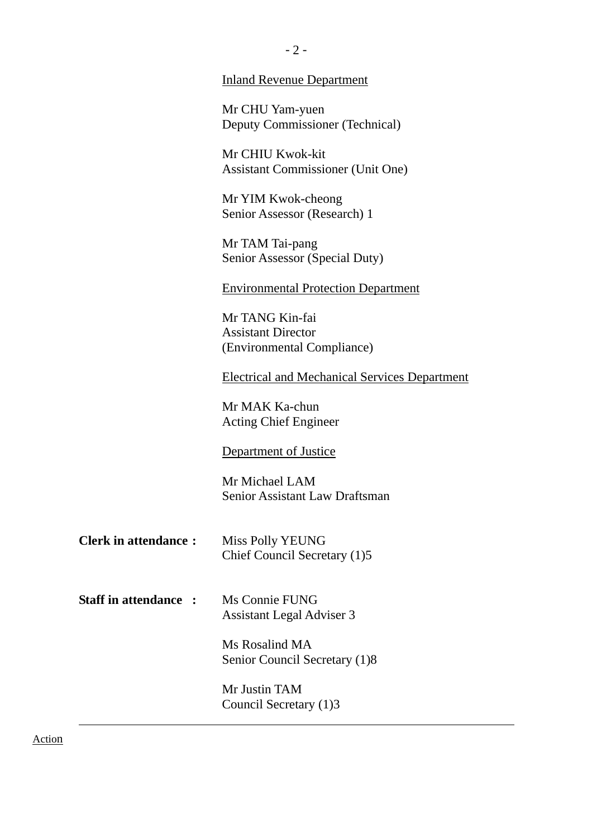|                              | Mr CHU Yam-yuen<br>Deputy Commissioner (Technical)           |
|------------------------------|--------------------------------------------------------------|
|                              | Mr CHIU Kwok-kit<br><b>Assistant Commissioner (Unit One)</b> |
|                              | Mr YIM Kwok-cheong<br>Senior Assessor (Research) 1           |
|                              | Mr TAM Tai-pang<br>Senior Assessor (Special Duty)            |
|                              | <b>Environmental Protection Department</b>                   |
|                              | Mr TANG Kin-fai<br><b>Assistant Director</b>                 |
|                              | (Environmental Compliance)                                   |
|                              | <b>Electrical and Mechanical Services Department</b>         |
|                              | Mr MAK Ka-chun<br><b>Acting Chief Engineer</b>               |
|                              | Department of Justice                                        |
|                              | Mr Michael LAM<br><b>Senior Assistant Law Draftsman</b>      |
| <b>Clerk in attendance:</b>  | <b>Miss Polly YEUNG</b><br>Chief Council Secretary (1)5      |
| <b>Staff in attendance :</b> | Ms Connie FUNG<br>Assistant Legal Adviser 3                  |
|                              | Ms Rosalind MA<br>Senior Council Secretary (1)8              |
|                              | Mr Justin TAM<br>Council Secretary (1)3                      |
|                              |                                                              |

 $- 2 -$ 

Inland Revenue Department

Action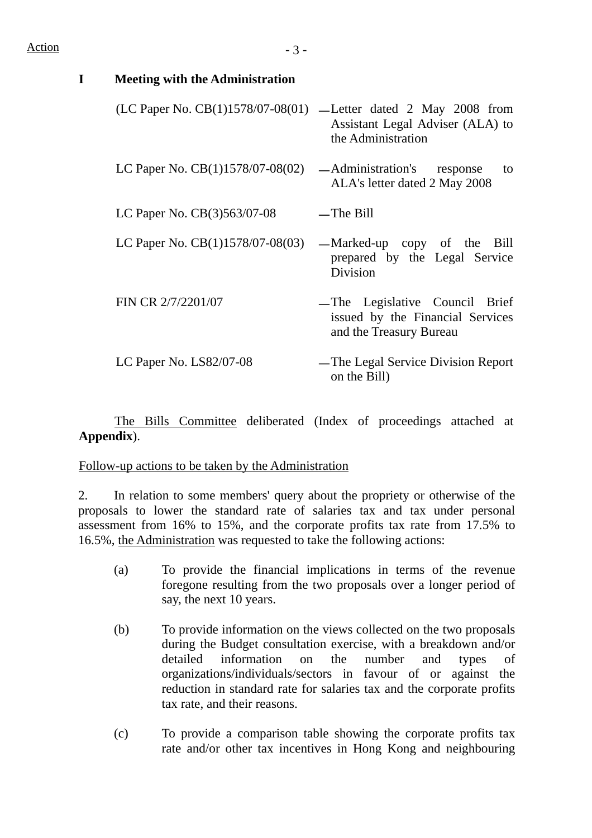| <b>Meeting with the Administration</b> |                                                                                                                            |
|----------------------------------------|----------------------------------------------------------------------------------------------------------------------------|
|                                        | (LC Paper No. CB(1)1578/07-08(01) — Letter dated 2 May 2008 from<br>Assistant Legal Adviser (ALA) to<br>the Administration |
| LC Paper No. $CB(1)1578/07-08(02)$     | — Administration's<br>response<br>to<br>ALA's letter dated 2 May 2008                                                      |
| LC Paper No. $CB(3)563/07-08$          | $-$ The Bill                                                                                                               |
| LC Paper No. $CB(1)1578/07-08(03)$     | — Marked-up copy of the<br>Bill<br>prepared by the Legal Service<br>Division                                               |
| FIN CR 2/7/2201/07                     | -The Legislative Council Brief<br>issued by the Financial Services<br>and the Treasury Bureau                              |
| LC Paper No. $LS82/07-08$              | — The Legal Service Division Report<br>on the Bill)                                                                        |

 The Bills Committee deliberated (Index of proceedings attached at **Appendix**).

Follow-up actions to be taken by the Administration

2. In relation to some members' query about the propriety or otherwise of the proposals to lower the standard rate of salaries tax and tax under personal assessment from 16% to 15%, and the corporate profits tax rate from 17.5% to 16.5%, the Administration was requested to take the following actions:

- (a) To provide the financial implications in terms of the revenue foregone resulting from the two proposals over a longer period of say, the next 10 years.
- (b) To provide information on the views collected on the two proposals during the Budget consultation exercise, with a breakdown and/or detailed information on the number and types of organizations/individuals/sectors in favour of or against the reduction in standard rate for salaries tax and the corporate profits tax rate, and their reasons.
- (c) To provide a comparison table showing the corporate profits tax rate and/or other tax incentives in Hong Kong and neighbouring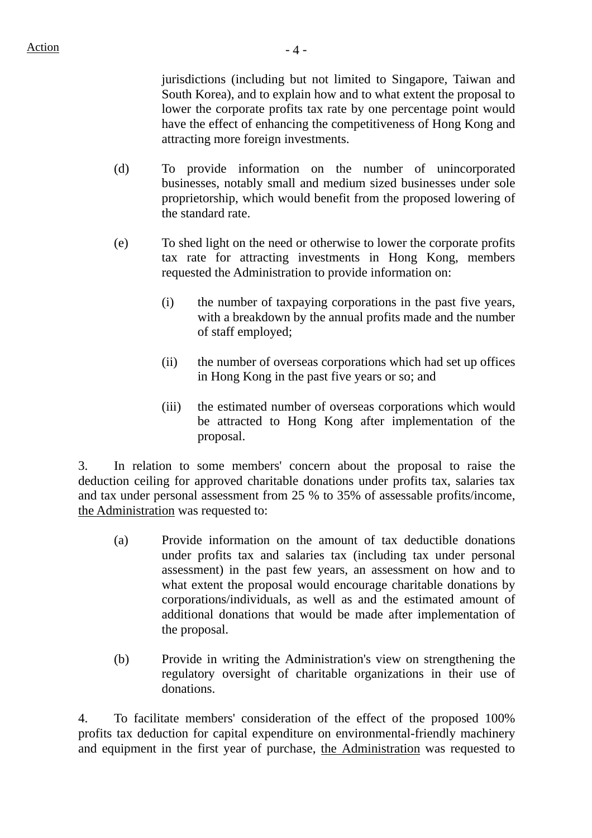jurisdictions (including but not limited to Singapore, Taiwan and South Korea), and to explain how and to what extent the proposal to lower the corporate profits tax rate by one percentage point would have the effect of enhancing the competitiveness of Hong Kong and attracting more foreign investments.

- (d) To provide information on the number of unincorporated businesses, notably small and medium sized businesses under sole proprietorship, which would benefit from the proposed lowering of the standard rate.
- (e) To shed light on the need or otherwise to lower the corporate profits tax rate for attracting investments in Hong Kong, members requested the Administration to provide information on:
	- (i) the number of taxpaying corporations in the past five years, with a breakdown by the annual profits made and the number of staff employed;
	- (ii) the number of overseas corporations which had set up offices in Hong Kong in the past five years or so; and
	- (iii) the estimated number of overseas corporations which would be attracted to Hong Kong after implementation of the proposal.

3. In relation to some members' concern about the proposal to raise the deduction ceiling for approved charitable donations under profits tax, salaries tax and tax under personal assessment from 25 % to 35% of assessable profits/income, the Administration was requested to:

- (a) Provide information on the amount of tax deductible donations under profits tax and salaries tax (including tax under personal assessment) in the past few years, an assessment on how and to what extent the proposal would encourage charitable donations by corporations/individuals, as well as and the estimated amount of additional donations that would be made after implementation of the proposal.
- (b) Provide in writing the Administration's view on strengthening the regulatory oversight of charitable organizations in their use of donations.

4. To facilitate members' consideration of the effect of the proposed 100% profits tax deduction for capital expenditure on environmental-friendly machinery and equipment in the first year of purchase, the Administration was requested to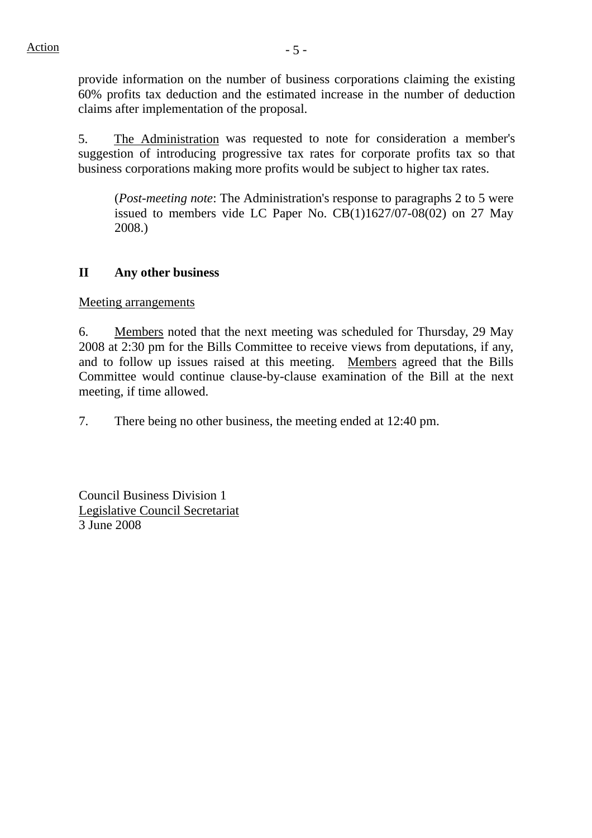provide information on the number of business corporations claiming the existing 60% profits tax deduction and the estimated increase in the number of deduction claims after implementation of the proposal.

5. The Administration was requested to note for consideration a member's suggestion of introducing progressive tax rates for corporate profits tax so that business corporations making more profits would be subject to higher tax rates.

(*Post-meeting note*: The Administration's response to paragraphs 2 to 5 were issued to members vide LC Paper No. CB(1)1627/07-08(02) on 27 May 2008.)

## **II Any other business**

Meeting arrangements

6. Members noted that the next meeting was scheduled for Thursday, 29 May 2008 at 2:30 pm for the Bills Committee to receive views from deputations, if any, and to follow up issues raised at this meeting. Members agreed that the Bills Committee would continue clause-by-clause examination of the Bill at the next meeting, if time allowed.

7. There being no other business, the meeting ended at 12:40 pm.

Council Business Division 1 Legislative Council Secretariat 3 June 2008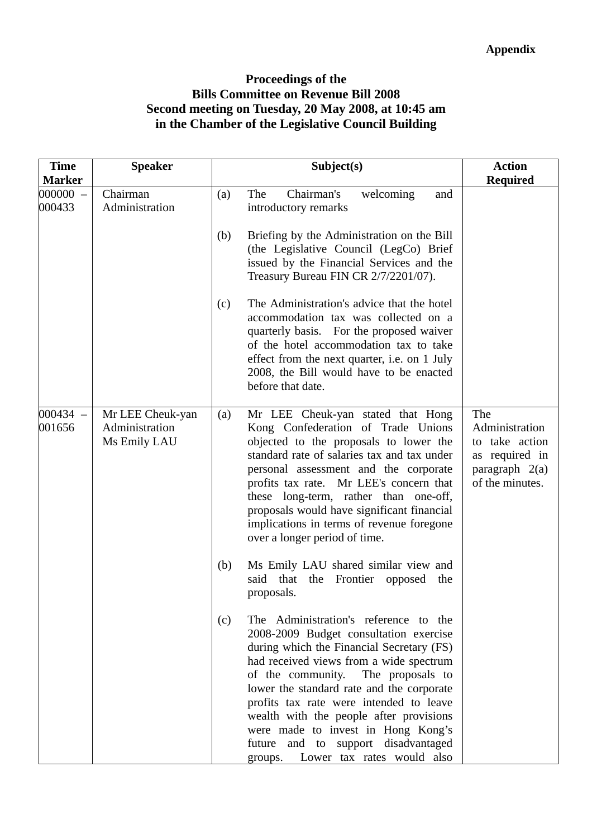## **Proceedings of the Bills Committee on Revenue Bill 2008 Second meeting on Tuesday, 20 May 2008, at 10:45 am in the Chamber of the Legislative Council Building**

| <b>Time</b><br><b>Marker</b> | <b>Speaker</b>                                     | Subject(s)                                                                                                                                                                                                                                                                                                                                                                                                                                                                                                                                                                                | <b>Action</b><br><b>Required</b>                                                                 |
|------------------------------|----------------------------------------------------|-------------------------------------------------------------------------------------------------------------------------------------------------------------------------------------------------------------------------------------------------------------------------------------------------------------------------------------------------------------------------------------------------------------------------------------------------------------------------------------------------------------------------------------------------------------------------------------------|--------------------------------------------------------------------------------------------------|
| $000000 -$<br>000433         | Chairman<br>Administration                         | Chairman's<br>The<br>welcoming<br>(a)<br>and<br>introductory remarks<br>Briefing by the Administration on the Bill<br>(b)<br>(the Legislative Council (LegCo) Brief<br>issued by the Financial Services and the<br>Treasury Bureau FIN CR 2/7/2201/07).<br>The Administration's advice that the hotel<br>(c)<br>accommodation tax was collected on a<br>quarterly basis. For the proposed waiver<br>of the hotel accommodation tax to take<br>effect from the next quarter, i.e. on 1 July<br>2008, the Bill would have to be enacted                                                     |                                                                                                  |
| $000434 -$<br>001656         | Mr LEE Cheuk-yan<br>Administration<br>Ms Emily LAU | before that date.<br>Mr LEE Cheuk-yan stated that Hong<br>(a)<br>Kong Confederation of Trade Unions<br>objected to the proposals to lower the<br>standard rate of salaries tax and tax under<br>personal assessment and the corporate<br>profits tax rate. Mr LEE's concern that<br>these long-term, rather than one-off,<br>proposals would have significant financial<br>implications in terms of revenue foregone<br>over a longer period of time.                                                                                                                                     | The<br>Administration<br>to take action<br>as required in<br>paragraph $2(a)$<br>of the minutes. |
|                              |                                                    | Ms Emily LAU shared similar view and<br>(b)<br>said that the Frontier opposed<br>the<br>proposals.<br>The Administration's reference to the<br>(c)<br>2008-2009 Budget consultation exercise<br>during which the Financial Secretary (FS)<br>had received views from a wide spectrum<br>The proposals to<br>of the community.<br>lower the standard rate and the corporate<br>profits tax rate were intended to leave<br>wealth with the people after provisions<br>were made to invest in Hong Kong's<br>and to support disadvantaged<br>future<br>Lower tax rates would also<br>groups. |                                                                                                  |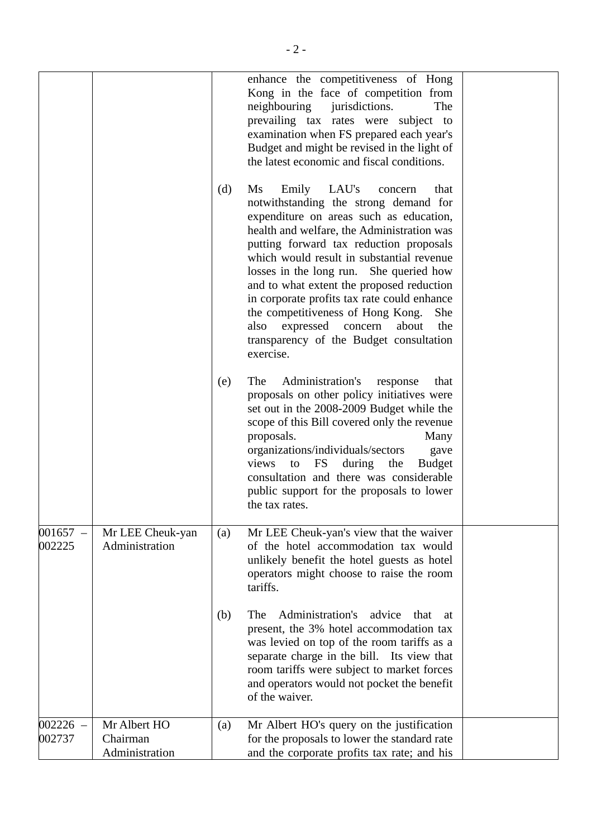|                      |                                            | (d) | enhance the competitiveness of Hong<br>Kong in the face of competition from<br>neighbouring<br>jurisdictions.<br>The<br>prevailing tax rates were subject to<br>examination when FS prepared each year's<br>Budget and might be revised in the light of<br>the latest economic and fiscal conditions.<br>Ms<br>Emily<br>LAU's<br>that<br>concern<br>notwithstanding the strong demand for<br>expenditure on areas such as education, |  |
|----------------------|--------------------------------------------|-----|--------------------------------------------------------------------------------------------------------------------------------------------------------------------------------------------------------------------------------------------------------------------------------------------------------------------------------------------------------------------------------------------------------------------------------------|--|
|                      |                                            |     | health and welfare, the Administration was<br>putting forward tax reduction proposals<br>which would result in substantial revenue<br>losses in the long run. She queried how<br>and to what extent the proposed reduction<br>in corporate profits tax rate could enhance<br>the competitiveness of Hong Kong.<br>She<br>expressed<br>also<br>concern<br>about<br>the<br>transparency of the Budget consultation<br>exercise.        |  |
|                      |                                            | (e) | Administration's<br>The<br>that<br>response<br>proposals on other policy initiatives were<br>set out in the 2008-2009 Budget while the<br>scope of this Bill covered only the revenue<br>proposals.<br>Many<br>organizations/individuals/sectors<br>gave<br>views<br>FS<br>the<br>during<br><b>Budget</b><br>to<br>consultation and there was considerable<br>public support for the proposals to lower<br>the tax rates.            |  |
| $001657 -$<br>002225 | Mr LEE Cheuk-yan<br>Administration         | (a) | Mr LEE Cheuk-yan's view that the waiver<br>of the hotel accommodation tax would<br>unlikely benefit the hotel guests as hotel<br>operators might choose to raise the room<br>tariffs.                                                                                                                                                                                                                                                |  |
|                      |                                            | (b) | Administration's<br>The<br>advice<br>that<br>at<br>present, the 3% hotel accommodation tax<br>was levied on top of the room tariffs as a<br>separate charge in the bill. Its view that<br>room tariffs were subject to market forces<br>and operators would not pocket the benefit<br>of the waiver.                                                                                                                                 |  |
| $002226 -$<br>002737 | Mr Albert HO<br>Chairman<br>Administration | (a) | Mr Albert HO's query on the justification<br>for the proposals to lower the standard rate<br>and the corporate profits tax rate; and his                                                                                                                                                                                                                                                                                             |  |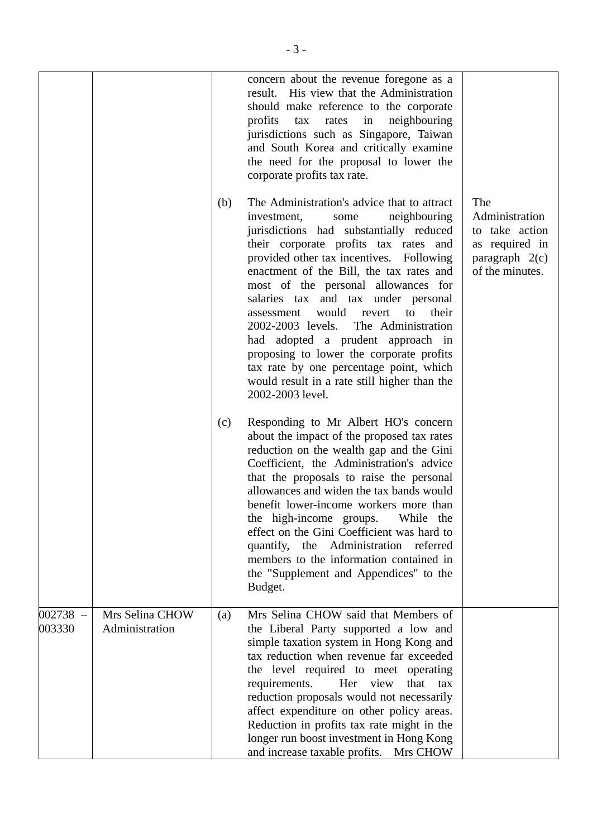|                      |                                   |     | concern about the revenue foregone as a<br>result. His view that the Administration<br>should make reference to the corporate<br>profits<br>in<br>neighbouring<br>tax<br>rates<br>jurisdictions such as Singapore, Taiwan<br>and South Korea and critically examine<br>the need for the proposal to lower the<br>corporate profits tax rate.                                                                                                                                                                                                                                                                                            |                                                                                                  |
|----------------------|-----------------------------------|-----|-----------------------------------------------------------------------------------------------------------------------------------------------------------------------------------------------------------------------------------------------------------------------------------------------------------------------------------------------------------------------------------------------------------------------------------------------------------------------------------------------------------------------------------------------------------------------------------------------------------------------------------------|--------------------------------------------------------------------------------------------------|
|                      |                                   | (b) | The Administration's advice that to attract<br>investment,<br>neighbouring<br>some<br>jurisdictions had substantially reduced<br>their corporate profits tax rates and<br>provided other tax incentives. Following<br>enactment of the Bill, the tax rates and<br>most of the personal allowances for<br>salaries tax and tax under personal<br>would<br>revert<br>to<br>their<br>assessment<br>The Administration<br>2002-2003 levels.<br>had adopted a prudent approach in<br>proposing to lower the corporate profits<br>tax rate by one percentage point, which<br>would result in a rate still higher than the<br>2002-2003 level. | The<br>Administration<br>to take action<br>as required in<br>paragraph $2(c)$<br>of the minutes. |
|                      |                                   | (c) | Responding to Mr Albert HO's concern<br>about the impact of the proposed tax rates<br>reduction on the wealth gap and the Gini<br>Coefficient, the Administration's advice<br>that the proposals to raise the personal<br>allowances and widen the tax bands would<br>benefit lower-income workers more than<br>the high-income groups.<br>While the<br>effect on the Gini Coefficient was hard to<br>quantify, the Administration referred<br>members to the information contained in<br>the "Supplement and Appendices" to the<br>Budget.                                                                                             |                                                                                                  |
| $002738 -$<br>003330 | Mrs Selina CHOW<br>Administration | (a) | Mrs Selina CHOW said that Members of<br>the Liberal Party supported a low and<br>simple taxation system in Hong Kong and<br>tax reduction when revenue far exceeded<br>the level required to meet operating<br>requirements.<br>Her view<br>that<br>tax<br>reduction proposals would not necessarily<br>affect expenditure on other policy areas.<br>Reduction in profits tax rate might in the<br>longer run boost investment in Hong Kong<br>and increase taxable profits. Mrs CHOW                                                                                                                                                   |                                                                                                  |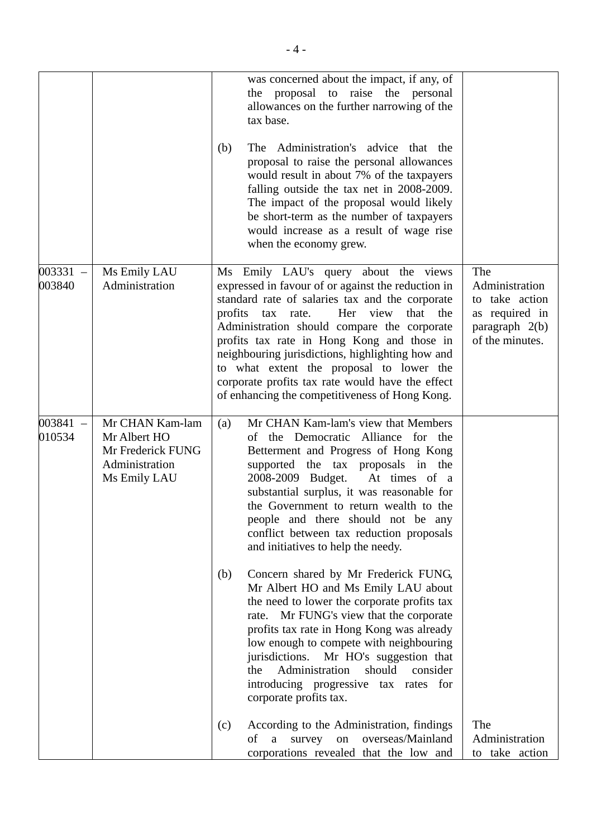|                      |                                                                                        | was concerned about the impact, if any, of<br>the proposal to raise the personal<br>allowances on the further narrowing of the<br>tax base.<br>The Administration's advice that the<br>(b)<br>proposal to raise the personal allowances<br>would result in about 7% of the taxpayers<br>falling outside the tax net in 2008-2009.<br>The impact of the proposal would likely<br>be short-term as the number of taxpayers<br>would increase as a result of wage rise<br>when the economy grew. |                                                                                                  |
|----------------------|----------------------------------------------------------------------------------------|-----------------------------------------------------------------------------------------------------------------------------------------------------------------------------------------------------------------------------------------------------------------------------------------------------------------------------------------------------------------------------------------------------------------------------------------------------------------------------------------------|--------------------------------------------------------------------------------------------------|
| $003331 -$<br>003840 | Ms Emily LAU<br>Administration                                                         | Ms Emily LAU's query about the views<br>expressed in favour of or against the reduction in<br>standard rate of salaries tax and the corporate<br>profits tax rate.<br>Her view that the<br>Administration should compare the corporate<br>profits tax rate in Hong Kong and those in<br>neighbouring jurisdictions, highlighting how and<br>to what extent the proposal to lower the<br>corporate profits tax rate would have the effect<br>of enhancing the competitiveness of Hong Kong.    | The<br>Administration<br>to take action<br>as required in<br>paragraph $2(b)$<br>of the minutes. |
| $003841 -$<br>010534 | Mr CHAN Kam-lam<br>Mr Albert HO<br>Mr Frederick FUNG<br>Administration<br>Ms Emily LAU | Mr CHAN Kam-lam's view that Members<br>(a)<br>of the Democratic Alliance for the<br>Betterment and Progress of Hong Kong<br>supported the tax proposals in the<br>2008-2009 Budget.<br>At times of a<br>substantial surplus, it was reasonable for<br>the Government to return wealth to the<br>people and there should not be any<br>conflict between tax reduction proposals<br>and initiatives to help the needy.                                                                          |                                                                                                  |
|                      |                                                                                        | Concern shared by Mr Frederick FUNG,<br>(b)<br>Mr Albert HO and Ms Emily LAU about<br>the need to lower the corporate profits tax<br>Mr FUNG's view that the corporate<br>rate.<br>profits tax rate in Hong Kong was already<br>low enough to compete with neighbouring<br>jurisdictions. Mr HO's suggestion that<br>Administration<br>should<br>consider<br>the<br>introducing progressive tax rates for<br>corporate profits tax.                                                           |                                                                                                  |
|                      |                                                                                        | According to the Administration, findings<br>(c)<br>a survey on overseas/Mainland<br>of<br>corporations revealed that the low and                                                                                                                                                                                                                                                                                                                                                             | The<br>Administration<br>to take action                                                          |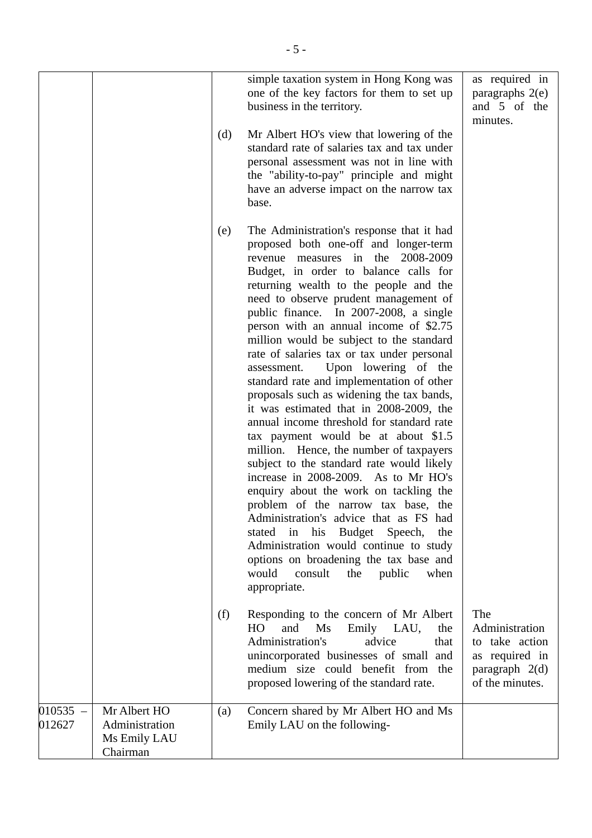|                      |                                                            | (d) | simple taxation system in Hong Kong was<br>one of the key factors for them to set up<br>business in the territory.<br>Mr Albert HO's view that lowering of the<br>standard rate of salaries tax and tax under<br>personal assessment was not in line with<br>the "ability-to-pay" principle and might<br>have an adverse impact on the narrow tax<br>base.                                                                                                                                                                                                                                                                                                                                                                                                                                                                                                                                                                                                                                                                                                                                                                                           | as required in<br>paragraphs 2(e)<br>and 5 of the<br>minutes.                                    |
|----------------------|------------------------------------------------------------|-----|------------------------------------------------------------------------------------------------------------------------------------------------------------------------------------------------------------------------------------------------------------------------------------------------------------------------------------------------------------------------------------------------------------------------------------------------------------------------------------------------------------------------------------------------------------------------------------------------------------------------------------------------------------------------------------------------------------------------------------------------------------------------------------------------------------------------------------------------------------------------------------------------------------------------------------------------------------------------------------------------------------------------------------------------------------------------------------------------------------------------------------------------------|--------------------------------------------------------------------------------------------------|
|                      |                                                            | (e) | The Administration's response that it had<br>proposed both one-off and longer-term<br>revenue measures in the 2008-2009<br>Budget, in order to balance calls for<br>returning wealth to the people and the<br>need to observe prudent management of<br>public finance. In 2007-2008, a single<br>person with an annual income of \$2.75<br>million would be subject to the standard<br>rate of salaries tax or tax under personal<br>Upon lowering of the<br>assessment.<br>standard rate and implementation of other<br>proposals such as widening the tax bands,<br>it was estimated that in 2008-2009, the<br>annual income threshold for standard rate<br>tax payment would be at about \$1.5<br>million. Hence, the number of taxpayers<br>subject to the standard rate would likely<br>increase in 2008-2009. As to Mr HO's<br>enquiry about the work on tackling the<br>problem of the narrow tax base, the<br>Administration's advice that as FS had<br>stated in his Budget Speech,<br>the<br>Administration would continue to study<br>options on broadening the tax base and<br>would<br>consult<br>public<br>when<br>the<br>appropriate. |                                                                                                  |
|                      |                                                            | (f) | Responding to the concern of Mr Albert<br>HO.<br>and<br>Ms<br>Emily LAU,<br>the<br>Administration's<br>advice<br>that<br>unincorporated businesses of small<br>and<br>medium size could benefit from the<br>proposed lowering of the standard rate.                                                                                                                                                                                                                                                                                                                                                                                                                                                                                                                                                                                                                                                                                                                                                                                                                                                                                                  | The<br>Administration<br>to take action<br>as required in<br>paragraph $2(d)$<br>of the minutes. |
| $010535 -$<br>012627 | Mr Albert HO<br>Administration<br>Ms Emily LAU<br>Chairman | (a) | Concern shared by Mr Albert HO and Ms<br>Emily LAU on the following-                                                                                                                                                                                                                                                                                                                                                                                                                                                                                                                                                                                                                                                                                                                                                                                                                                                                                                                                                                                                                                                                                 |                                                                                                  |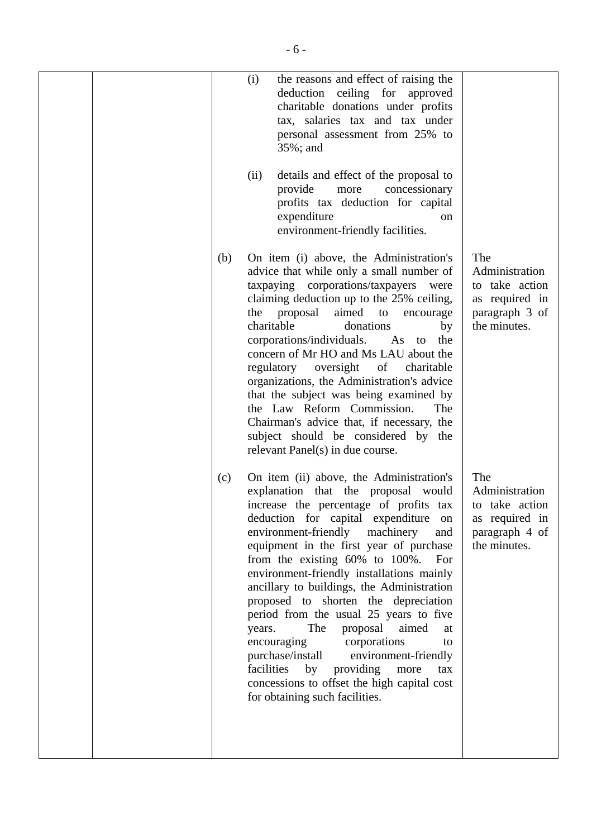| the reasons and effect of raising the<br>(i)                                                                                                                                                                                                                                                                                                                                                                                                                                                                                                                                                                                                                                                                                                     |                                                                                             |
|--------------------------------------------------------------------------------------------------------------------------------------------------------------------------------------------------------------------------------------------------------------------------------------------------------------------------------------------------------------------------------------------------------------------------------------------------------------------------------------------------------------------------------------------------------------------------------------------------------------------------------------------------------------------------------------------------------------------------------------------------|---------------------------------------------------------------------------------------------|
| deduction ceiling for approved<br>charitable donations under profits<br>tax, salaries tax and tax under<br>personal assessment from 25% to<br>35%; and                                                                                                                                                                                                                                                                                                                                                                                                                                                                                                                                                                                           |                                                                                             |
| details and effect of the proposal to<br>(ii)<br>provide<br>concessionary<br>more<br>profits tax deduction for capital<br>expenditure<br><sub>on</sub><br>environment-friendly facilities.                                                                                                                                                                                                                                                                                                                                                                                                                                                                                                                                                       |                                                                                             |
| On item (i) above, the Administration's<br>advice that while only a small number of<br>taxpaying corporations/taxpayers<br>were<br>claiming deduction up to the 25% ceiling,<br>aimed to<br>proposal<br>the<br>encourage<br>charitable<br>donations<br>by<br>corporations/individuals. As to<br>the<br>concern of Mr HO and Ms LAU about the<br>regulatory oversight of<br>charitable<br>organizations, the Administration's advice<br>that the subject was being examined by<br>the Law Reform Commission.<br>The<br>Chairman's advice that, if necessary, the<br>subject should be considered by the<br>relevant Panel(s) in due course.                                                                                                       | The<br>Administration<br>to take action<br>as required in<br>paragraph 3 of<br>the minutes. |
| On item (ii) above, the Administration's<br>explanation that the proposal would<br>increase the percentage of profits tax<br>deduction for capital expenditure<br>on<br>environment-friendly machinery<br>and<br>equipment in the first year of purchase<br>from the existing $60\%$ to $100\%$ .<br>For<br>environment-friendly installations mainly<br>ancillary to buildings, the Administration<br>proposed to shorten the depreciation<br>period from the usual 25 years to five<br>The<br>proposal aimed<br>years.<br>at<br>encouraging<br>corporations<br>to<br>purchase/install<br>environment-friendly<br>facilities<br>by<br>providing<br>more<br>tax<br>concessions to offset the high capital cost<br>for obtaining such facilities. | The<br>Administration<br>to take action<br>as required in<br>paragraph 4 of<br>the minutes. |
|                                                                                                                                                                                                                                                                                                                                                                                                                                                                                                                                                                                                                                                                                                                                                  | (b)<br>(c)                                                                                  |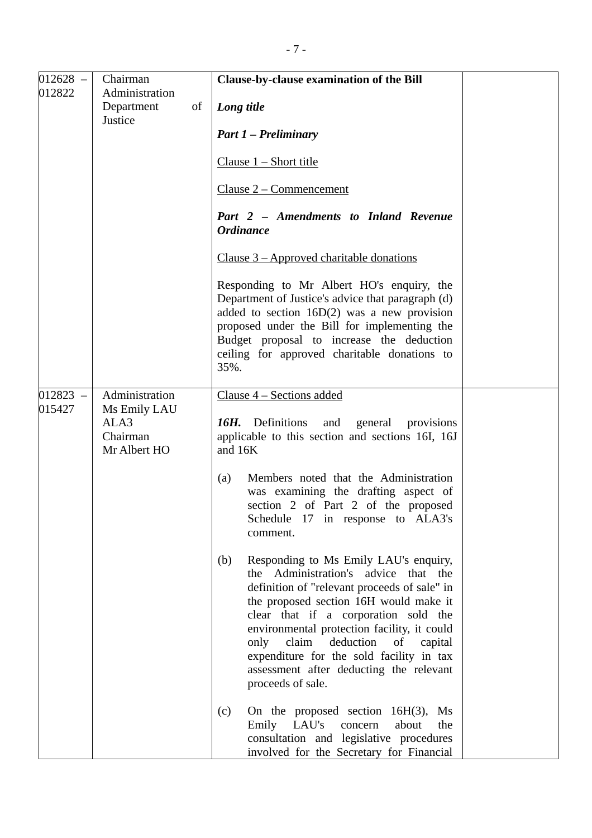| $012628 -$ | Chairman                                         |    | <b>Clause-by-clause examination of the Bill</b>                                                                                                                                                                                                                                                                                                                                                                            |
|------------|--------------------------------------------------|----|----------------------------------------------------------------------------------------------------------------------------------------------------------------------------------------------------------------------------------------------------------------------------------------------------------------------------------------------------------------------------------------------------------------------------|
| 012822     | Administration<br>Department<br>Justice          | of | Long title                                                                                                                                                                                                                                                                                                                                                                                                                 |
|            |                                                  |    | <b>Part 1 – Preliminary</b>                                                                                                                                                                                                                                                                                                                                                                                                |
|            |                                                  |    | Clause $1 -$ Short title                                                                                                                                                                                                                                                                                                                                                                                                   |
|            |                                                  |    | $Clause 2 - Comment$                                                                                                                                                                                                                                                                                                                                                                                                       |
|            |                                                  |    | Part 2 - Amendments to Inland Revenue<br><b>Ordinance</b>                                                                                                                                                                                                                                                                                                                                                                  |
|            |                                                  |    | Clause $3 -$ Approved charitable donations                                                                                                                                                                                                                                                                                                                                                                                 |
|            |                                                  |    | Responding to Mr Albert HO's enquiry, the<br>Department of Justice's advice that paragraph (d)<br>added to section $16D(2)$ was a new provision<br>proposed under the Bill for implementing the<br>Budget proposal to increase the deduction<br>ceiling for approved charitable donations to<br>35%.                                                                                                                       |
| $012823 -$ | Administration                                   |    | Clause 4 – Sections added                                                                                                                                                                                                                                                                                                                                                                                                  |
| 015427     | Ms Emily LAU<br>ALA3<br>Chairman<br>Mr Albert HO |    | 16H. Definitions<br>and<br>general provisions<br>applicable to this section and sections 16I, 16J<br>and 16K                                                                                                                                                                                                                                                                                                               |
|            |                                                  |    | Members noted that the Administration<br>(a)<br>was examining the drafting aspect of<br>section 2 of Part 2 of the proposed<br>Schedule 17 in response to ALA3's<br>comment.                                                                                                                                                                                                                                               |
|            |                                                  |    | Responding to Ms Emily LAU's enquiry,<br>(b)<br>the Administration's advice that the<br>definition of "relevant proceeds of sale" in<br>the proposed section 16H would make it<br>clear that if a corporation sold the<br>environmental protection facility, it could<br>only claim<br>deduction of<br>capital<br>expenditure for the sold facility in tax<br>assessment after deducting the relevant<br>proceeds of sale. |
|            |                                                  |    | On the proposed section $16H(3)$ , Ms<br>(c)<br>Emily LAU's<br>the<br>concern<br>about<br>consultation and legislative procedures<br>involved for the Secretary for Financial                                                                                                                                                                                                                                              |